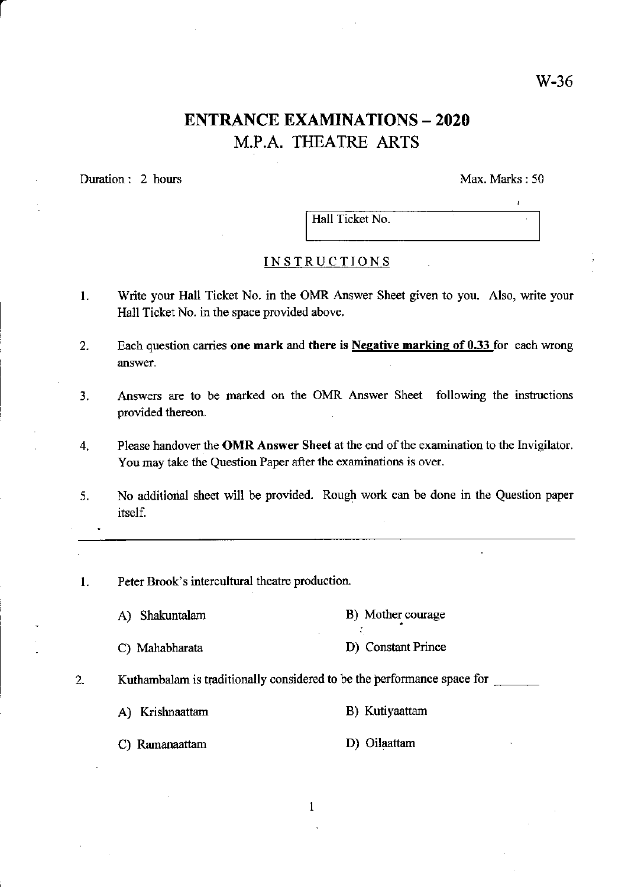## ENTRANCE EXAMINATIONS - 2O2O M.P.A. THEATRE ARTS

Duration: 2 hours Max. Marks : 50

Hall Ticket No.

## INSTRUCTIONS

- L Write your Hall Ticket No. in the OMR Answer Sheet given to you. Also, write your Hall Ticket No. in the space provided above.
- 2. Each question carries one mark and there is Negative marking of  $0.33$  for each wrong answer.
- 3. Answers are to be marked on the OMR Answer Sheet following the instructions provided thereon.
- 4. Please handover the OMR Answer Sheet at the end of the examination to the Invigilator. You may take the Question Paper after the examinations is over.
- 5. No additional sheet will be provided. Rough work can be done in the Question paper itself.
- 1. Peter Brook's intercultural theatre production.
	- A) Shakuntalarn B). Mother courage
	- C) Mahabharata D) Constant Prince
- 

2. Kuthambalam is traditionally considered to be the performance space for

- A) Krishnaattam B) Kutiyaattam
- C) Ramanaattam D) Oilaattam
	- $\mathbf{1}$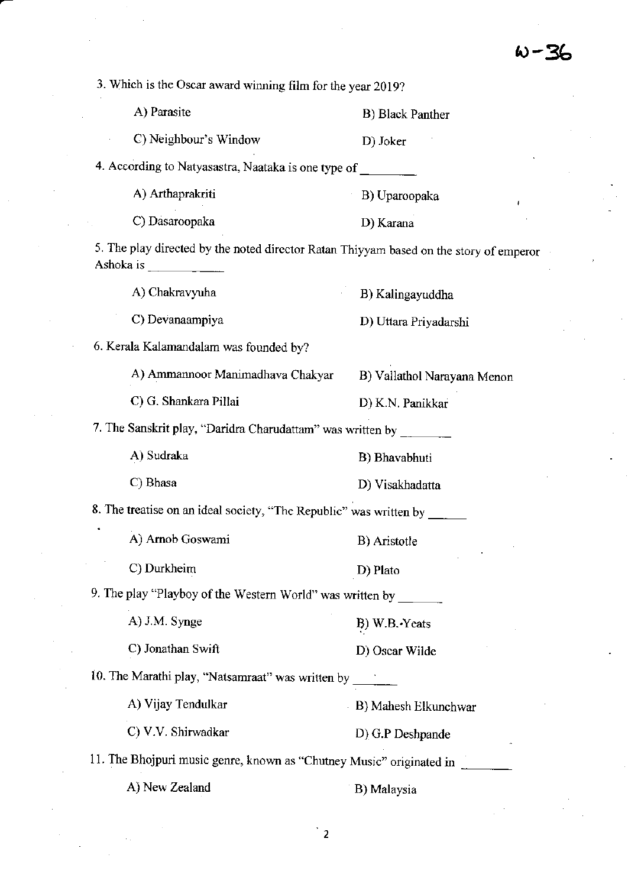3. Which is the Oscar award winning film for the year 2019? A) Parasite C) Neighbour's Window 4. According to Natyasastra, Naataka is one type of B) Black Panther D) Joker 6. Kerala Kalamandalam was founded by? A) Ammannoor Manimadhava Chakyar B) Vallathol Narayana Menon C) G. Shankara Pillai D) K.N. Panikkar 7. The Sanskrit play, "Daridra Charudattam" was written by \_\_\_\_\_\_\_\_\_\_\_\_\_\_\_\_\_\_\_\_\_\_ A) Chakravyuha C) Devanaampiya A) Sudraka C) Bhasa A) J.M. Synge C) Jonathan Swift B) Kalingayuddha D) Uttara Priyadarshi B) Aristotle D) Plato B) W.B..Yeats D) Oscar Wilde B) Mahesh Elkunchwar D) G.P Deshpande B) Bhavabhuti D) Visakhadatta 8. The treatise on an ideal society, "The Republic" was written by  $\qquad$ A) Amob Goswami C) Dukheim 9. The play "Playboy of the Western World" was written by \_\_\_\_\_\_\_ 10. The Marathi play, "Natsamraat" was written by A) Vijay Tendulkar C) V.V. Shirwadkar 11. The Bhojpuri music genre, known as "Chutney Music" originated in A) Arthaprakriti B) Uparoopaka C) Dasaroopaka D) Karana 5. The play directed by the noted director Ratan Thiyyam based on the story of emperor Ashoka is A) New Zealand B) Malaysia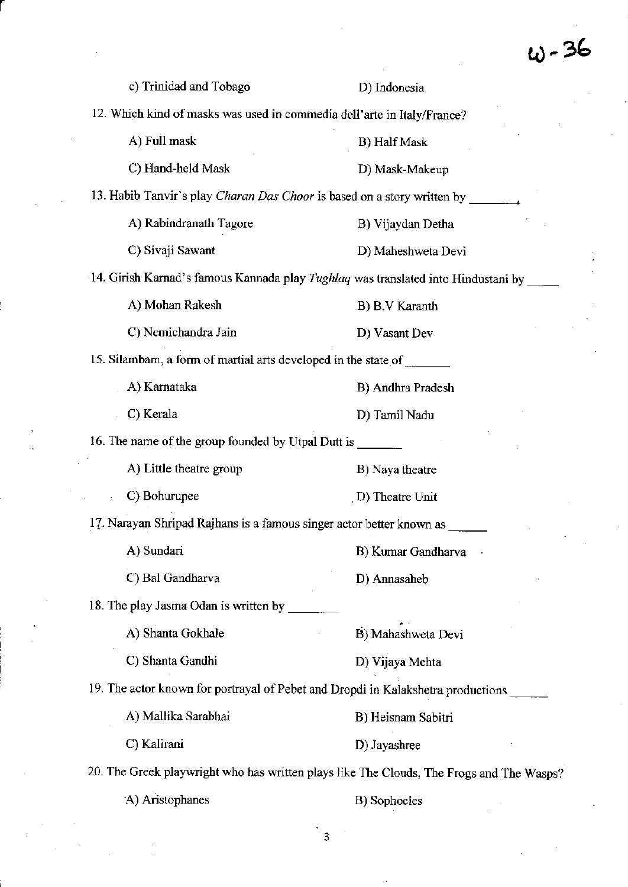$w - 36$ 

 $\label{eq:2.1} \frac{1}{\sqrt{2\pi}}\int_{0}^{\infty}\frac{1}{\sqrt{2\pi}}\left(\frac{1}{\sqrt{2\pi}}\right)^{2\alpha} \frac{1}{\sqrt{2\pi}}\left(\frac{1}{\sqrt{2\pi}}\right)^{\alpha} \frac{1}{\sqrt{2\pi}}\left(\frac{1}{\sqrt{2\pi}}\right)^{\alpha} \frac{1}{\sqrt{2\pi}}\left(\frac{1}{\sqrt{2\pi}}\right)^{\alpha} \frac{1}{\sqrt{2\pi}}\left(\frac{1}{\sqrt{2\pi}}\right)^{\alpha} \frac{1}{\sqrt{2\pi}}\left(\frac{1}{\sqrt{2\pi}}\right$ 

|                                                                                | $\omega$ - 26                                                                            |
|--------------------------------------------------------------------------------|------------------------------------------------------------------------------------------|
| c) Trinidad and Tobago                                                         | D) Indonesia                                                                             |
| 12. Which kind of masks was used in commedia dell'arte in Italy/France?        |                                                                                          |
| A) Full mask                                                                   | B) Half Mask                                                                             |
| C) Hand-held Mask                                                              | D) Mask-Makeup                                                                           |
| 13. Habib Tanvir's play <i>Charan Das Choor</i> is based on a story written by |                                                                                          |
| A) Rabindranath Tagore                                                         | B) Vijaydan Detha                                                                        |
| C) Sivaji Sawant                                                               | D) Maheshweta Devi                                                                       |
|                                                                                | 14. Girish Karnad's famous Kannada play Tughlaq was translated into Hindustani by        |
| A) Mohan Rakesh                                                                | B) B.V Karanth                                                                           |
| C) Nemichandra Jain                                                            | D) Vasant Dev                                                                            |
| 15. Silambam, a form of martial arts developed in the state of _______         |                                                                                          |
| A) Karnataka                                                                   | B) Andhra Pradesh                                                                        |
| C) Kerala                                                                      | D) Tamil Nadu                                                                            |
| 16. The name of the group founded by Utpal Dutt is ______                      |                                                                                          |
| A) Little theatre group                                                        | B) Naya theatre                                                                          |
| C) Bohurupee                                                                   | D) Theatre Unit                                                                          |
| 17. Narayan Shripad Rajhans is a famous singer actor better known as _         |                                                                                          |
| A) Sundari                                                                     | B) Kumar Gandharva                                                                       |
| C) Bal Gandharva                                                               | D) Annasaheb                                                                             |
| 18. The play Jasma Odan is written by                                          |                                                                                          |
| A) Shanta Gokhale                                                              | B) Mahashweta Devi                                                                       |
| C) Shanta Gandhi                                                               | D) Vijaya Mehta                                                                          |
|                                                                                | 19. The actor known for portrayal of Pebet and Dropdi in Kalakshetra productions         |
| A) Mallika Sarabhai                                                            | B) Heisnam Sabitri                                                                       |
| C) Kalirani                                                                    | D) Jayashree                                                                             |
|                                                                                | 20. The Greek playwright who has written plays like The Clouds, The Frogs and The Wasps? |
|                                                                                |                                                                                          |

 $\label{eq:2.1} \frac{1}{\sqrt{2}}\int_{\mathbb{R}^3}\frac{1}{\sqrt{2}}\left(\frac{1}{\sqrt{2}}\right)^2\frac{1}{\sqrt{2}}\left(\frac{1}{\sqrt{2}}\right)^2\frac{1}{\sqrt{2}}\left(\frac{1}{\sqrt{2}}\right)^2\frac{1}{\sqrt{2}}\left(\frac{1}{\sqrt{2}}\right)^2.$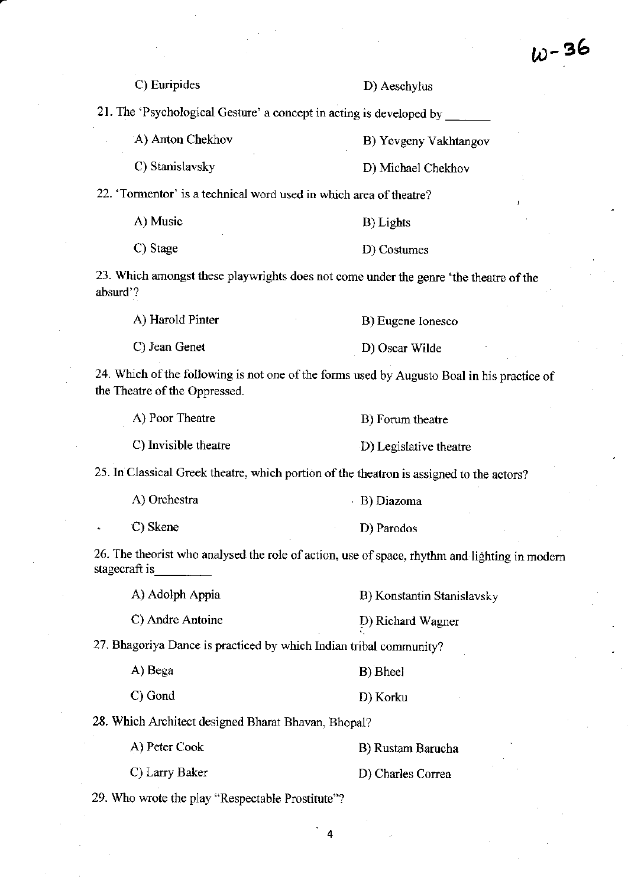|                                                                     | $\omega - 36$                                                                                 |
|---------------------------------------------------------------------|-----------------------------------------------------------------------------------------------|
| C) Euripides                                                        | D) Aeschylus                                                                                  |
| 21. The 'Psychological Gesture' a concept in acting is developed by |                                                                                               |
| A) Anton Chekhov                                                    | B) Yevgeny Vakhtangov                                                                         |
| C) Stanislavsky                                                     | D) Michael Chekhov                                                                            |
| 22. 'Tormentor' is a technical word used in which area of theatre?  |                                                                                               |
| A) Music                                                            | B) Lights                                                                                     |
| C) Stage                                                            | D) Costumes                                                                                   |
| absurd'?                                                            | 23. Which amongst these playwrights does not come under the genre 'the theatre of the         |
| A) Harold Pinter                                                    | B) Eugene Ionesco                                                                             |
| C) Jean Genet                                                       | D) Oscar Wilde                                                                                |
| the Theatre of the Oppressed.                                       | 24. Which of the following is not one of the forms used by Augusto Boal in his practice of    |
| A) Poor Theatre                                                     | B) Forum theatre                                                                              |
| C) Invisible theatre                                                | D) Legislative theatre                                                                        |
|                                                                     | 25. In Classical Greek theatre, which portion of the theatron is assigned to the actors?      |
| A) Orchestra                                                        | - B) Diazoma                                                                                  |
| C) Skene                                                            | D) Parodos                                                                                    |
| stagecraft is                                                       | 26. The theorist who analysed the role of action, use of space, rhythm and lighting in modern |
| A) Adolph Appia                                                     | B) Konstantin Stanislavsky                                                                    |
| C) Andre Antoine                                                    | D) Richard Wagner                                                                             |
| 27. Bhagoriya Dance is practiced by which Indian tribal community?  |                                                                                               |
| A) Bega                                                             | B) Bheel                                                                                      |
| C) Gond                                                             | D) Korku                                                                                      |
| 28. Which Architect designed Bharat Bhavan, Bhopal?                 |                                                                                               |
| A) Peter Cook                                                       | B) Rustam Barucha                                                                             |
| C) Larry Baker                                                      | D) Charles Correa                                                                             |
| 29. Who wrote the play "Respectable Prostitute"?                    |                                                                                               |
|                                                                     | 4                                                                                             |

 $\frac{1}{2}$ 

 $\sim 10^6$ 

 $\mathcal{L}^{\text{max}}_{\text{max}}$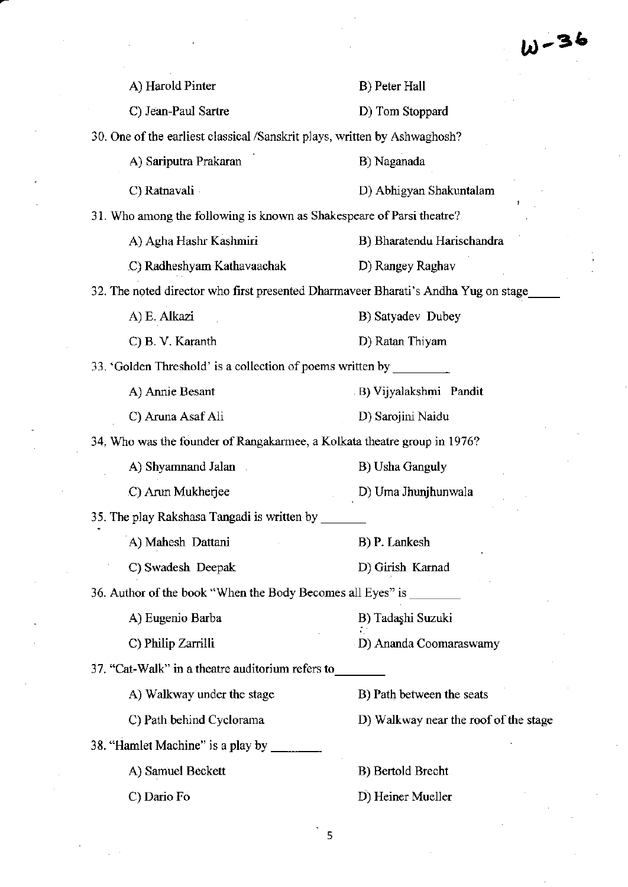|                                                                           | $W - 36$                                                                           |
|---------------------------------------------------------------------------|------------------------------------------------------------------------------------|
| A) Harold Pinter                                                          | B) Peter Hall                                                                      |
| C) Jean-Paul Sartre                                                       | D) Tom Stoppard                                                                    |
| 30. One of the earliest classical /Sanskrit plays, written by Ashwaghosh? |                                                                                    |
| A) Sariputra Prakaran                                                     | B) Naganada                                                                        |
| C) Ratnavali                                                              | D) Abhigyan Shakuntalam                                                            |
| 31. Who among the following is known as Shakespeare of Parsi theatre?     |                                                                                    |
| A) Agha Hashr Kashmiri                                                    | B) Bharatendu Harischandra                                                         |
| C) Radheshyam Kathavaachak                                                | D) Rangey Raghav                                                                   |
|                                                                           | 32. The noted director who first presented Dharmaveer Bharati's Andha Yug on stage |
| A) E. Alkazi                                                              | B) Satyadev Dubey                                                                  |
| C) B. V. Karanth                                                          | D) Ratan Thiyam                                                                    |
| 33. 'Golden Threshold' is a collection of poems written by                |                                                                                    |
| A) Annie Besant                                                           | B) Vijyalakshmi Pandit                                                             |
| C) Aruna Asaf Ali                                                         | D) Sarojini Naidu                                                                  |
| 34. Who was the founder of Rangakarmee, a Kolkata theatre group in 1976?  |                                                                                    |
| A) Shyamnand Jalan                                                        | <b>B</b> ) Usha Ganguly                                                            |
| C) Arun Mukherjee                                                         | D) Uma Jhunjhunwala                                                                |
| 35. The play Rakshasa Tangadi is written by                               |                                                                                    |
| A) Mahesh Dattani                                                         | B) P. Lankesh                                                                      |
| C) Swadesh Deepak                                                         | D) Girish Karnad                                                                   |
| 36. Author of the book "When the Body Becomes all Eyes" is ________       |                                                                                    |
| A) Eugenio Barba                                                          | B) Tadaşhi Suzuki                                                                  |
| C) Philip Zarrilli                                                        | D) Ananda Coomaraswamy                                                             |
| 37. "Cat-Walk" in a theatre auditorium refers to                          |                                                                                    |
| A) Walkway under the stage                                                | B) Path between the seats                                                          |
| C) Path behind Cyclorama                                                  | D) Walkway near the roof of the stage                                              |
| 38. "Hamlet Machine" is a play by                                         |                                                                                    |
| A) Samuel Beckett                                                         | B) Bertold Brecht                                                                  |
| C) Dario Fo                                                               | D) Heiner Mueller                                                                  |

 $\frac{1}{2}$  5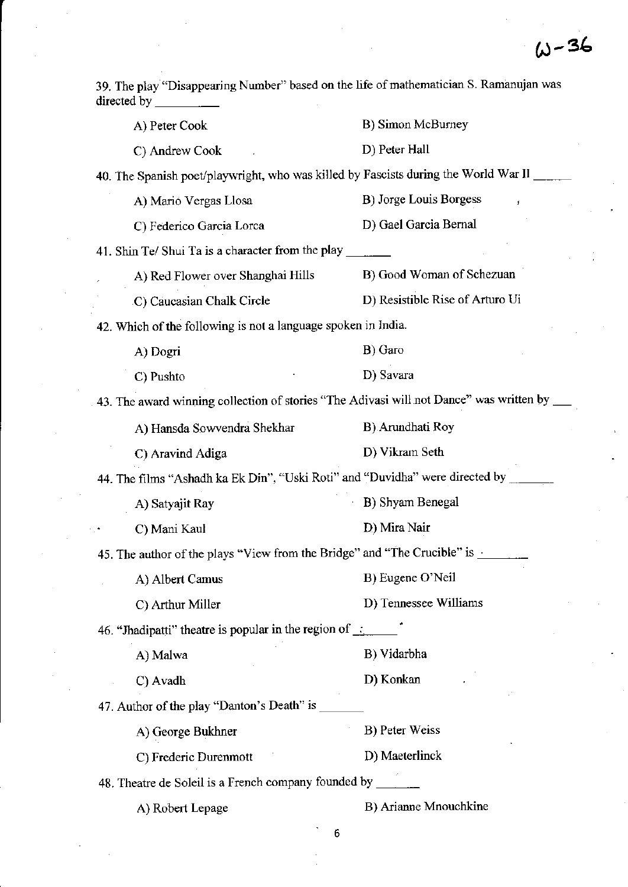$\mathcal{A}^{\mathcal{A}}$ 

 $\frac{1}{2}$ 

| 39. The play "Disappearing Number" based on the life of mathematician S. Ramanujan was<br>directed by |                                 |
|-------------------------------------------------------------------------------------------------------|---------------------------------|
| A) Peter Cook                                                                                         | B) Simon McBurney               |
| C) Andrew Cook                                                                                        | D) Peter Hall                   |
| 40. The Spanish poet/playwright, who was killed by Fascists during the World War II                   |                                 |
| A) Mario Vergas Llosa                                                                                 | B) Jorge Louis Borgess          |
| C) Federico Garcia Lorca                                                                              | D) Gael Garcia Bernal           |
| 41. Shin Te/ Shui Ta is a character from the play                                                     |                                 |
| A) Red Flower over Shanghai Hills                                                                     | B) Good Woman of Schezuan       |
| C) Caucasian Chalk Circle                                                                             | D) Resistible Rise of Arturo Ui |
| 42. Which of the following is not a language spoken in India.                                         |                                 |
| A) Dogri                                                                                              | B) Garo                         |
| C) Pushto                                                                                             | D) Savara                       |
|                                                                                                       |                                 |
| A) Hansda Sowvendra Shekhar                                                                           | B) Arundhati Roy                |
| C) Aravind Adiga                                                                                      | D) Vikram Seth                  |
| 44. The films "Ashadh ka Ek Din", "Uski Roti" and "Duvidha" were directed by                          |                                 |
| A) Satyajit Ray                                                                                       | B) Shyam Benegal                |
| C) Mani Kaul                                                                                          | D) Mira Nair                    |
| 45. The author of the plays "View from the Bridge" and "The Crucible" is $\frac{1}{1}$                |                                 |
| A) Albert Camus                                                                                       | B) Eugene O'Neil                |
| C) Arthur Miller                                                                                      | D) Tennessee Williams           |
| 46. "Jhadipatti" theatre is popular in the region of $\therefore$                                     |                                 |
| A) Malwa                                                                                              | B) Vidarbha                     |
| C) Avadh                                                                                              | D) Konkan                       |
| 47. Author of the play "Danton's Death" is __                                                         |                                 |
| A) George Bukhner                                                                                     | B) Peter Weiss                  |
| C) Frederic Durenmott                                                                                 | D) Maeterlinck                  |
| 48. Theatre de Soleil is a French company founded by __                                               |                                 |
| A) Robert Lepage                                                                                      | B) Arianne Mnouchkine           |